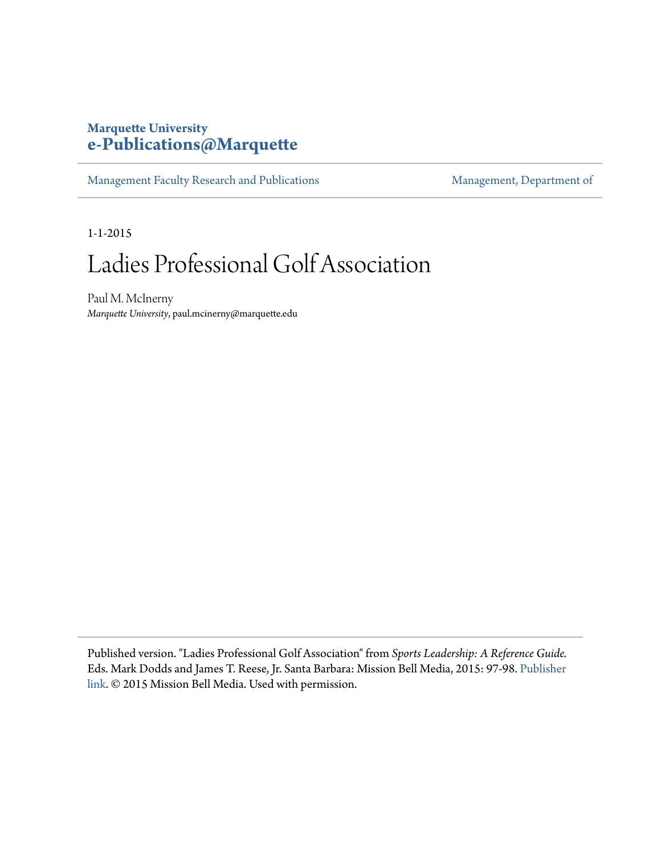#### **Marquette University [e-Publications@Marquette](https://epublications.marquette.edu)**

[Management Faculty Research and Publications](https://epublications.marquette.edu/mgmt_fac) [Management, Department of](https://epublications.marquette.edu/mgmt)

1-1-2015

## Ladies Professional Golf Association

Paul M. McInerny *Marquette University*, paul.mcinerny@marquette.edu

Published version. "Ladies Professional Golf Association" from *Sports Leadership: A Reference Guide.* Eds. Mark Dodds and James T. Reese, Jr. Santa Barbara: Mission Bell Media, 2015: 97-98. [Publisher](http://www.missionbellmedia.com/reference#title4) [link](http://www.missionbellmedia.com/reference#title4). © 2015 Mission Bell Media. Used with permission.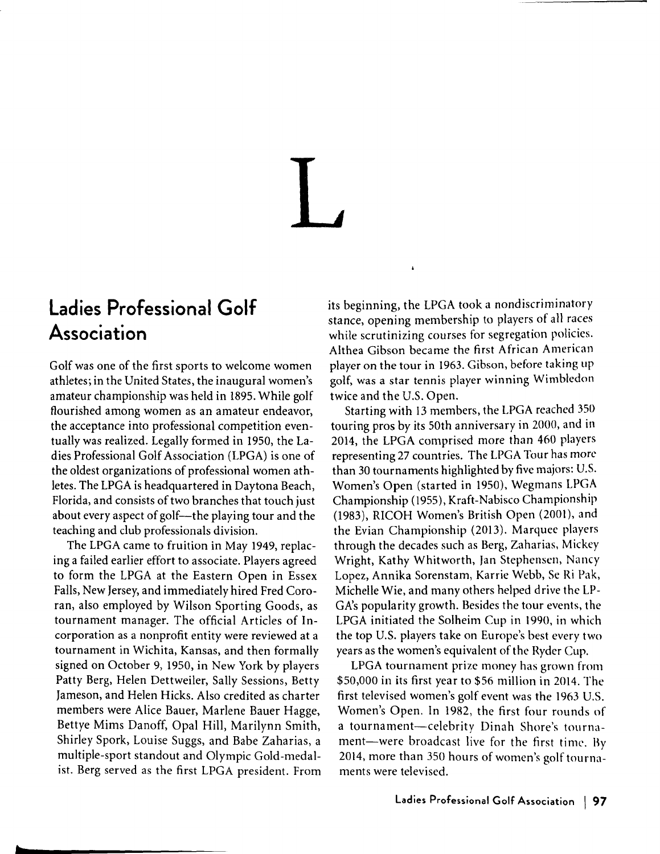# L

#### **Ladies Professional Golf Association**

Golf was one of the first sports to welcome women athletes; in the United States, the inaugural women's amateur championship was held in 1895. While golf flourished among women as an amateur endeavor, the acceptance into professional competition eventually was realized. Legally formed in 1950, the Ladies Professional Golf Association (LPGA) is one of the oldest organizations of professional women athletes. The LPGA is headquartered in Daytona Beach, Florida, and consists of two branches that touch just about every aspect of golf---the playing tour and the teaching and club professionals division.

The LPGA came to fruition in May 1949, replacing a failed earlier effort to associate. Players agreed to form the LPGA at the Eastern Open in Essex Falls, New Jersey, and immediately hired Fred Coraran, also employed by Wilson Sporting Goods, as tournament manager. The official Articles of Incorporation as a nonprofit entity were reviewed at a tournament in Wichita, Kansas, and then formally signed on October 9, 1950, in New York by players Patty Berg, Helen Dettweiler, Sally Sessions, Betty Jameson, and Helen Hicks. Also credited as charter members were Alice Bauer, Marlene Bauer Hagge, Bettye Mims Danoff, Opal Hill, Marilynn Smith, Shirley Spork, Louise Suggs, and Babe Zaharias, a multiple-sport standout and Olympic Gold-medalist. Berg served as the first LPGA president. From

its beginning, the LPGA took a nondiscriminatory stance, opening membership to players of all races while scrutinizing courses for segregation policies. Althea Gibson became the first African American player on the tour in 1963. Gibson, before taking up golf, was a star tennis player winning Wimbledon twice and the U.S. Open.

 $\pmb{\mathsf{s}}$ 

Starting with 13 members, the LPGA reached 350 touring pros by its 50th anniversary in 2000, and in 2014, the LPGA comprised more than 460 players representing 27 countries. The LPGA Tour has more than 30 tournaments highlighted by five majors: U.S. Women's Open (started in 1950), Wegmans LPGA Championship (1955), Kraft-Nabisco Championship (1983), RICOH Women's British Open (2001), and the Evian Championship (2013). Marquee players through the decades such as Berg, Zaharias, Mickey Wright, Kathy Whitworth, Jan Stephenscn, Nancy Lopez, Annika Sorenstam, Karrie Webb, Se Ri Pak, Michelle Wie, and many others helped drive the LP-GA's popularity growth. Besides the tour events, the LPGA initiated the Solheim Cup in 1990, in which the top U.S. players take on Europe's best every two years as the women's equivalent of the Ryder Cup.

LPGA tournament prize money has grown from \$50,000 in its first year to \$56 million in 2014. The first televised women's golf event was the 1963 U.S. Women's Open. In 1982, the first four rounds of a tournament-celebrity Dinah Shore's tournament-were broadcast live for the first time. By 2014, more than 350 hours of women's golf tournaments were televised.